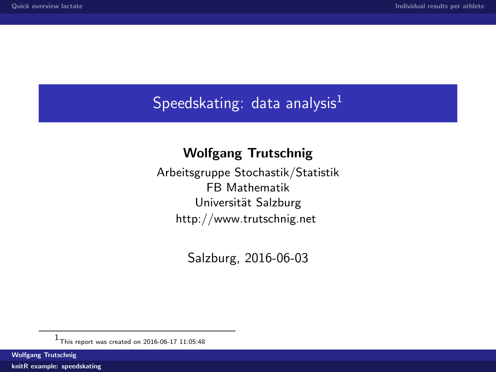## <span id="page-0-0"></span>Speedskating: data analysis $<sup>1</sup>$ </sup>

## Wolfgang Trutschnig

Arbeitsgruppe Stochastik/Statistik FB Mathematik Universität Salzburg <http://www.trutschnig.net>

Salzburg, 2016-06-03

Wolfgang Trutschnig

[knitR example: speedskating](#page-26-0)

<sup>1</sup> This report was created on 2016-06-17 11:05:48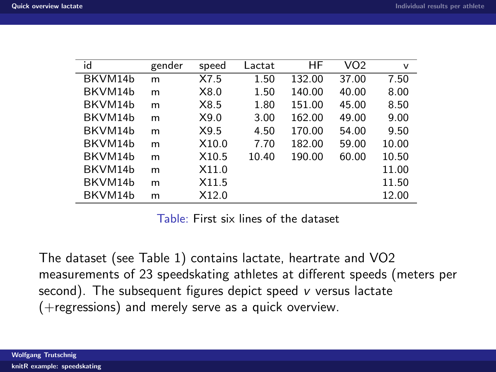<span id="page-1-0"></span>

| id      | gender | speed             | Lactat | ΗF     | VO <sub>2</sub> | v     |
|---------|--------|-------------------|--------|--------|-----------------|-------|
| BKVM14b | m      | X7.5              | 1.50   | 132.00 | 37.00           | 7.50  |
| BKVM14b | m      | X8.0              | 1.50   | 140.00 | 40.00           | 8.00  |
| BKVM14b | m      | X8.5              | 1.80   | 151.00 | 45.00           | 8.50  |
| BKVM14b | m      | X9.0              | 3.00   | 162.00 | 49.00           | 9.00  |
| BKVM14b | m      | X9.5              | 4.50   | 170.00 | 54.00           | 9.50  |
| BKVM14b | m      | X <sub>10.0</sub> | 7.70   | 182.00 | 59.00           | 10.00 |
| BKVM14b | m      | X <sub>10.5</sub> | 10.40  | 190.00 | 60.00           | 10.50 |
| BKVM14b | m      | X11.0             |        |        |                 | 11.00 |
| BKVM14b | m      | X11.5             |        |        |                 | 11.50 |
| BKVM14b | m      | X12.0             |        |        |                 | 12.00 |

Table: First six lines of the dataset

<span id="page-1-1"></span>The dataset (see Table [1\)](#page-1-1) contains lactate, heartrate and VO2 measurements of 23 speedskating athletes at different speeds (meters per second). The subsequent figures depict speed v versus lactate (+regressions) and merely serve as a quick overview.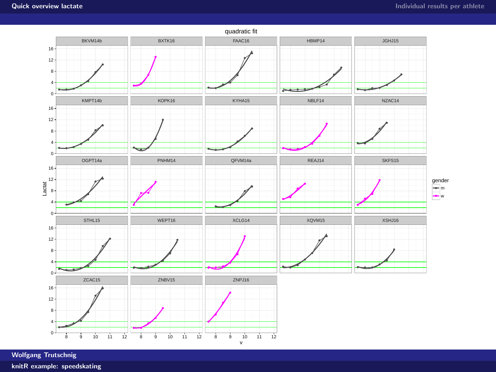

Wolfgang Trutschnig

[knitR example: speedskating](#page-0-0)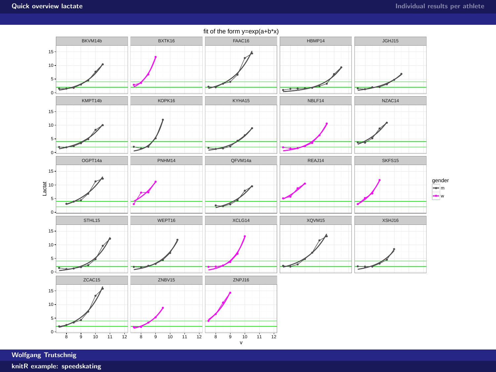

Wolfgang Trutschnig

[knitR example: speedskating](#page-0-0)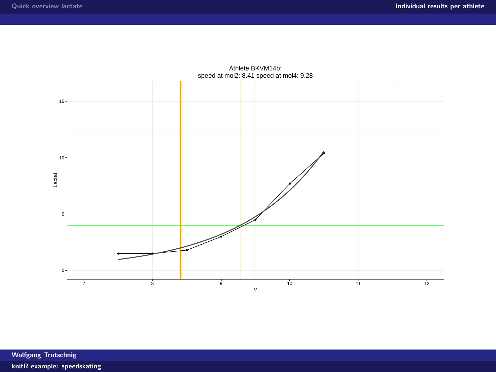<span id="page-4-0"></span>

Athlete BKVM14b: speed at mol2: 8.41 speed at mol4: 9.28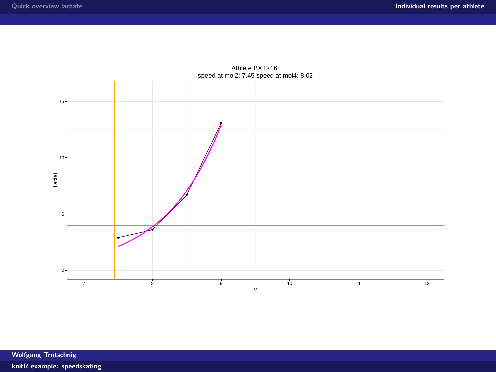

Athlete BXTK16: speed at mol2: 7.45 speed at mol4: 8.02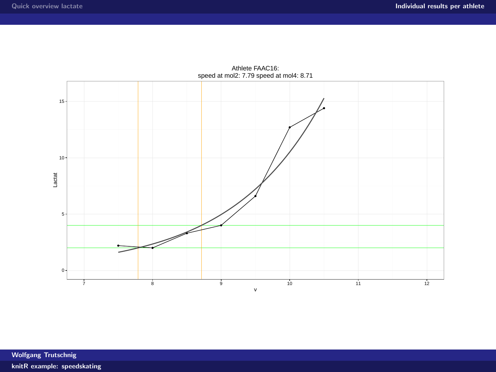

Athlete FAAC16: speed at mol2: 7.79 speed at mol4: 8.71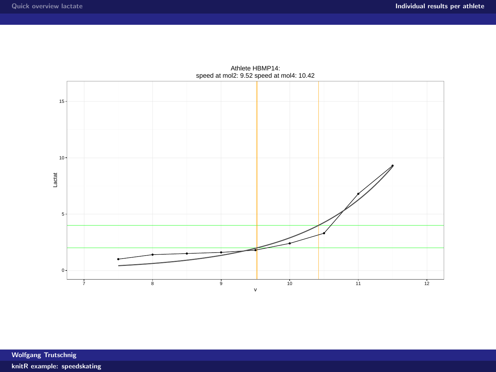

Athlete HBMP14: speed at mol2: 9.52 speed at mol4: 10.42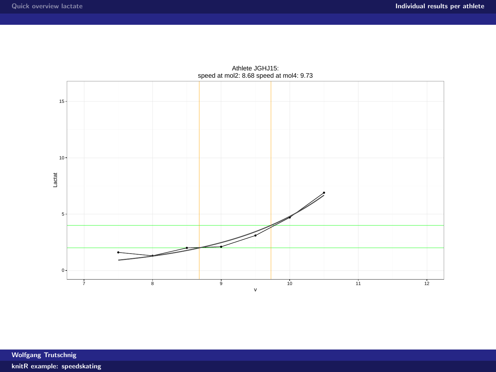

Athlete JGHJ15: speed at mol2: 8.68 speed at mol4: 9.73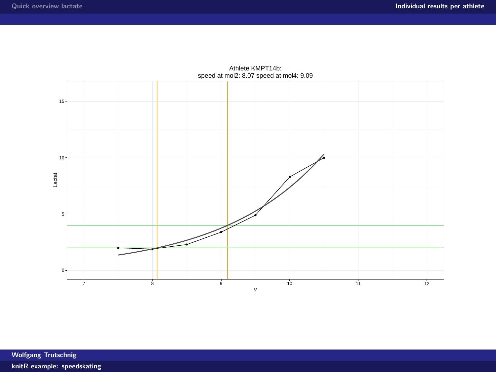

Athlete KMPT14b: speed at mol2: 8.07 speed at mol4: 9.09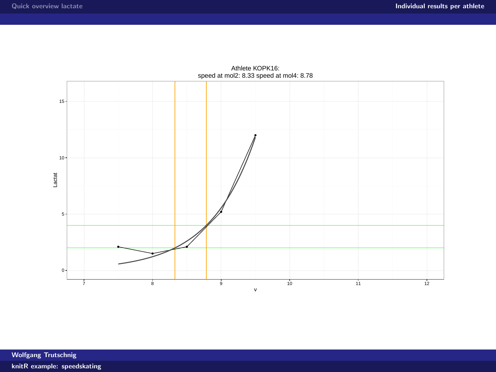

Athlete KOPK16: speed at mol2: 8.33 speed at mol4: 8.78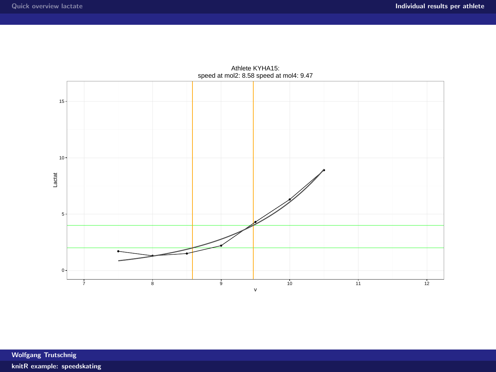

Athlete KYHA15: speed at mol2: 8.58 speed at mol4: 9.47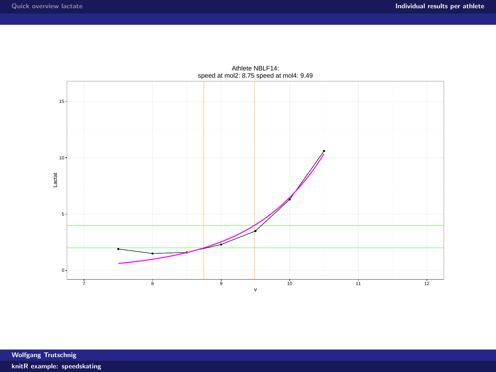

Athlete NBLF14: speed at mol2: 8.75 speed at mol4: 9.49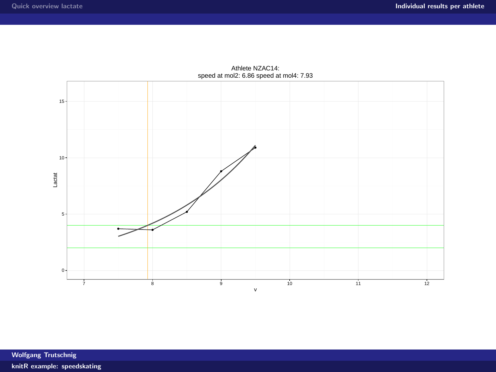

Athlete NZAC14: speed at mol2: 6.86 speed at mol4: 7.93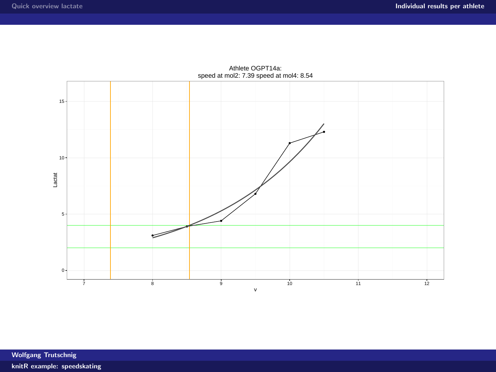

Athlete OGPT14a: speed at mol2: 7.39 speed at mol4: 8.54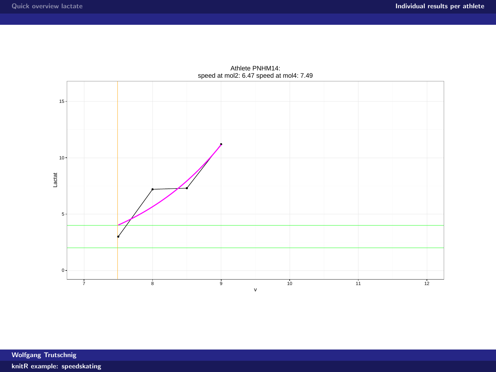

Athlete PNHM14: speed at mol2: 6.47 speed at mol4: 7.49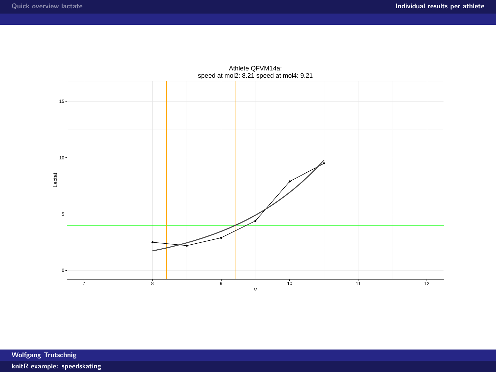

Athlete QFVM14a: speed at mol2: 8.21 speed at mol4: 9.21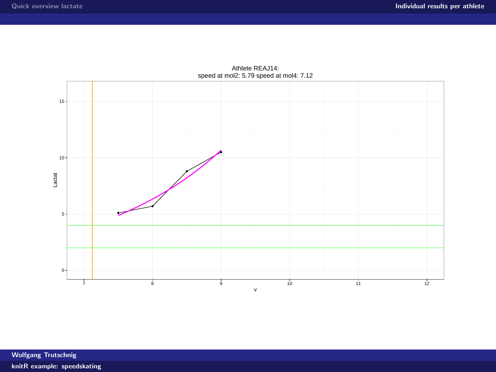

Athlete REAJ14: speed at mol2: 5.79 speed at mol4: 7.12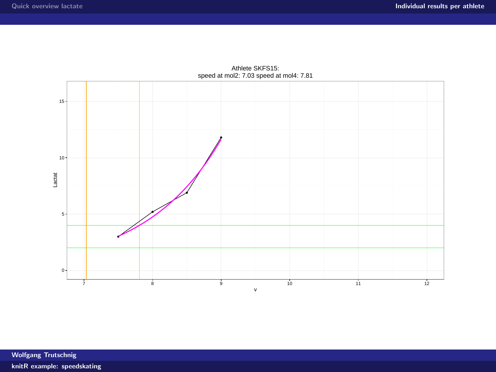

Athlete SKFS15: speed at mol2: 7.03 speed at mol4: 7.81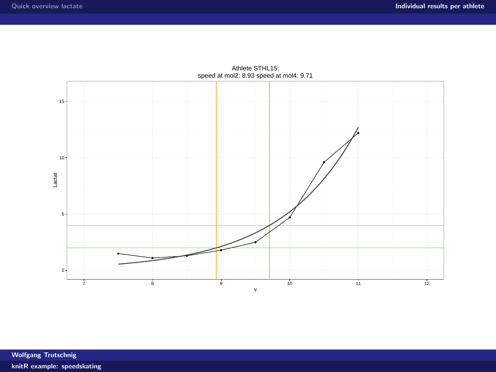

Athlete STHL15: speed at mol2: 8.93 speed at mol4: 9.71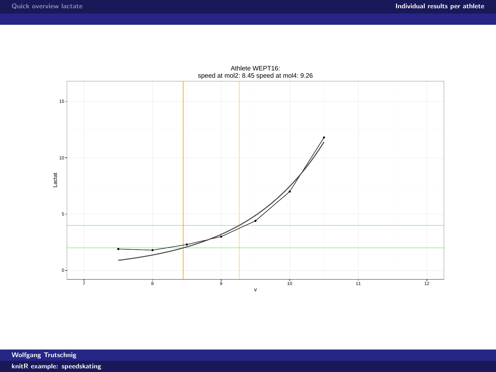

Athlete WEPT16: speed at mol2: 8.45 speed at mol4: 9.26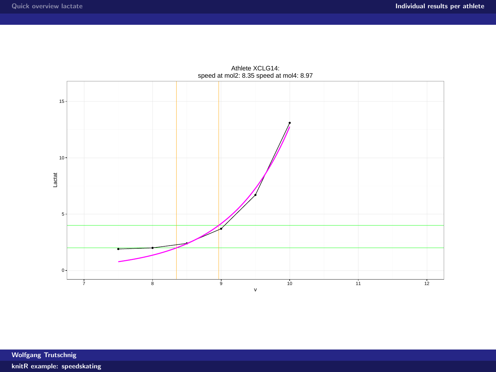

Athlete XCLG14: speed at mol2: 8.35 speed at mol4: 8.97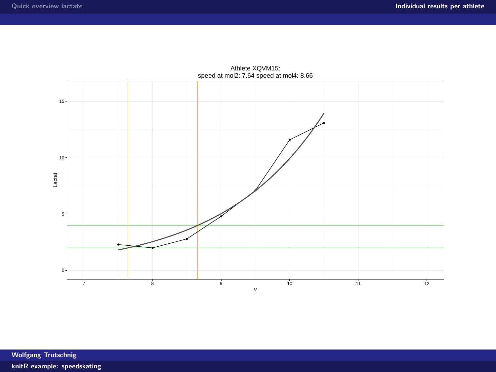

Athlete XQVM15: speed at mol2: 7.64 speed at mol4: 8.66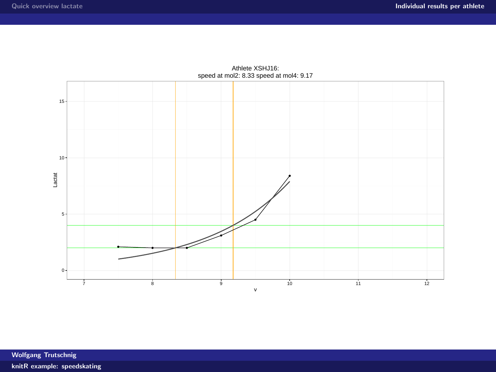

Athlete XSHJ16: speed at mol2: 8.33 speed at mol4: 9.17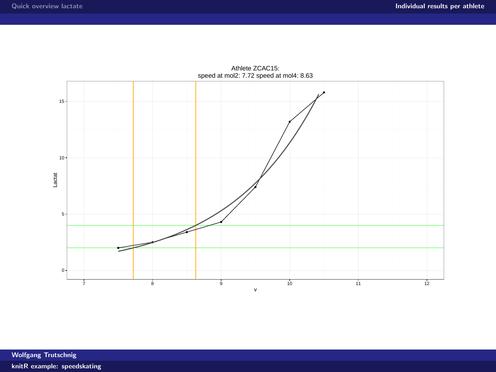

Athlete ZCAC15: speed at mol2: 7.72 speed at mol4: 8.63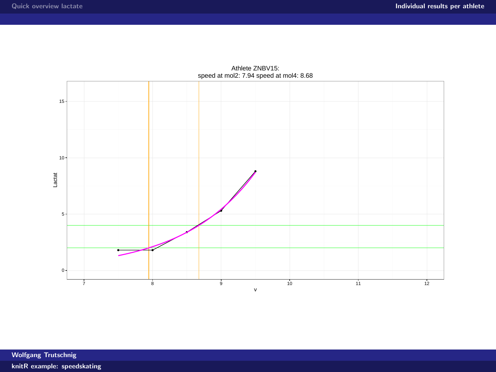

Athlete ZNBV15: speed at mol2: 7.94 speed at mol4: 8.68